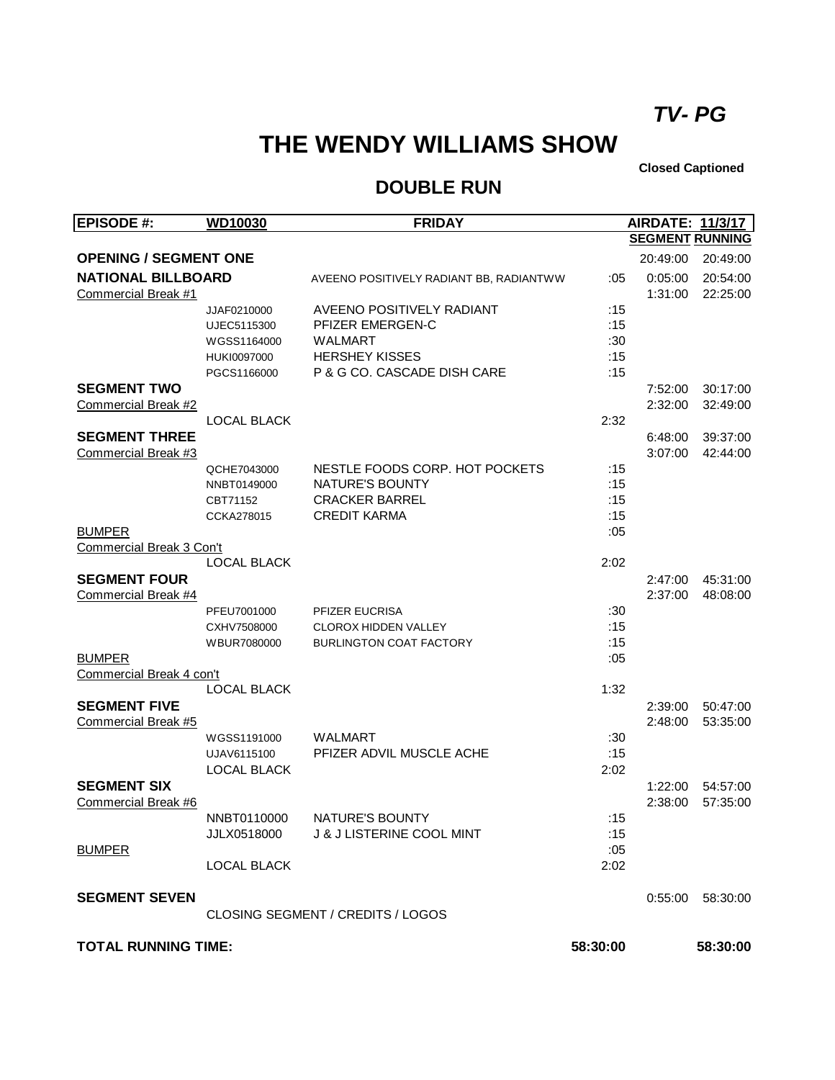## *TV- PG*

## **THE WENDY WILLIAMS SHOW**

**Closed Captioned**

## **DOUBLE RUN**

| <b>EPISODE #:</b>            | <b>WD10030</b>             | <b>FRIDAY</b>                            |          | <b>AIRDATE: 11/3/17</b> |                      |
|------------------------------|----------------------------|------------------------------------------|----------|-------------------------|----------------------|
|                              |                            |                                          |          | <b>SEGMENT RUNNING</b>  |                      |
| <b>OPENING / SEGMENT ONE</b> |                            |                                          |          | 20:49:00                | 20:49:00             |
| <b>NATIONAL BILLBOARD</b>    |                            | AVEENO POSITIVELY RADIANT BB, RADIANTWW  | :05      | 0:05:00                 | 20:54:00             |
| Commercial Break #1          |                            |                                          |          | 1:31:00                 | 22:25:00             |
|                              | JJAF0210000                | AVEENO POSITIVELY RADIANT                | :15      |                         |                      |
|                              | UJEC5115300                | PFIZER EMERGEN-C                         | :15      |                         |                      |
|                              | WGSS1164000                | <b>WALMART</b>                           | :30      |                         |                      |
|                              | HUKI0097000                | <b>HERSHEY KISSES</b>                    | :15      |                         |                      |
|                              | PGCS1166000                | P & G CO. CASCADE DISH CARE              | :15      |                         |                      |
| <b>SEGMENT TWO</b>           |                            |                                          |          | 7:52:00                 | 30:17:00             |
| Commercial Break #2          |                            |                                          |          | 2:32:00                 | 32:49:00             |
|                              | <b>LOCAL BLACK</b>         |                                          | 2:32     |                         |                      |
| <b>SEGMENT THREE</b>         |                            |                                          |          | 6:48:00                 | 39:37:00             |
| Commercial Break #3          |                            | NESTLE FOODS CORP. HOT POCKETS           | :15      | 3:07:00                 | 42:44:00             |
|                              | QCHE7043000<br>NNBT0149000 | <b>NATURE'S BOUNTY</b>                   | :15      |                         |                      |
|                              | CBT71152                   | <b>CRACKER BARREL</b>                    | :15      |                         |                      |
|                              | CCKA278015                 | <b>CREDIT KARMA</b>                      | :15      |                         |                      |
| <b>BUMPER</b>                |                            |                                          | :05      |                         |                      |
| Commercial Break 3 Con't     |                            |                                          |          |                         |                      |
|                              | <b>LOCAL BLACK</b>         |                                          | 2:02     |                         |                      |
| <b>SEGMENT FOUR</b>          |                            |                                          |          | 2:47:00                 | 45:31:00             |
| Commercial Break #4          |                            |                                          |          | 2:37:00                 | 48:08:00             |
|                              | PFEU7001000                | PFIZER EUCRISA                           | :30      |                         |                      |
|                              | CXHV7508000                | <b>CLOROX HIDDEN VALLEY</b>              | :15      |                         |                      |
|                              | WBUR7080000                | <b>BURLINGTON COAT FACTORY</b>           | :15      |                         |                      |
| <b>BUMPER</b>                |                            |                                          | :05      |                         |                      |
| Commercial Break 4 con't     |                            |                                          |          |                         |                      |
|                              | <b>LOCAL BLACK</b>         |                                          | 1:32     |                         |                      |
| <b>SEGMENT FIVE</b>          |                            |                                          |          | 2:39:00                 | 50:47:00             |
| Commercial Break #5          |                            |                                          |          | 2:48:00                 | 53:35:00             |
|                              | WGSS1191000                | <b>WALMART</b>                           | :30      |                         |                      |
|                              | UJAV6115100                | PFIZER ADVIL MUSCLE ACHE                 | :15      |                         |                      |
| <b>SEGMENT SIX</b>           | <b>LOCAL BLACK</b>         |                                          | 2:02     |                         |                      |
| Commercial Break #6          |                            |                                          |          | 1:22:00<br>2:38:00      | 54:57:00<br>57:35:00 |
|                              | NNBT0110000                | NATURE'S BOUNTY                          | :15      |                         |                      |
|                              | JJLX0518000                | <b>J &amp; J LISTERINE COOL MINT</b>     | :15      |                         |                      |
| <b>BUMPER</b>                |                            |                                          | :05      |                         |                      |
|                              | <b>LOCAL BLACK</b>         |                                          | 2:02     |                         |                      |
| <b>SEGMENT SEVEN</b>         |                            |                                          |          | 0:55:00                 | 58:30:00             |
|                              |                            | <b>CLOSING SEGMENT / CREDITS / LOGOS</b> |          |                         |                      |
| <b>TOTAL RUNNING TIME:</b>   |                            |                                          | 58:30:00 |                         | 58:30:00             |